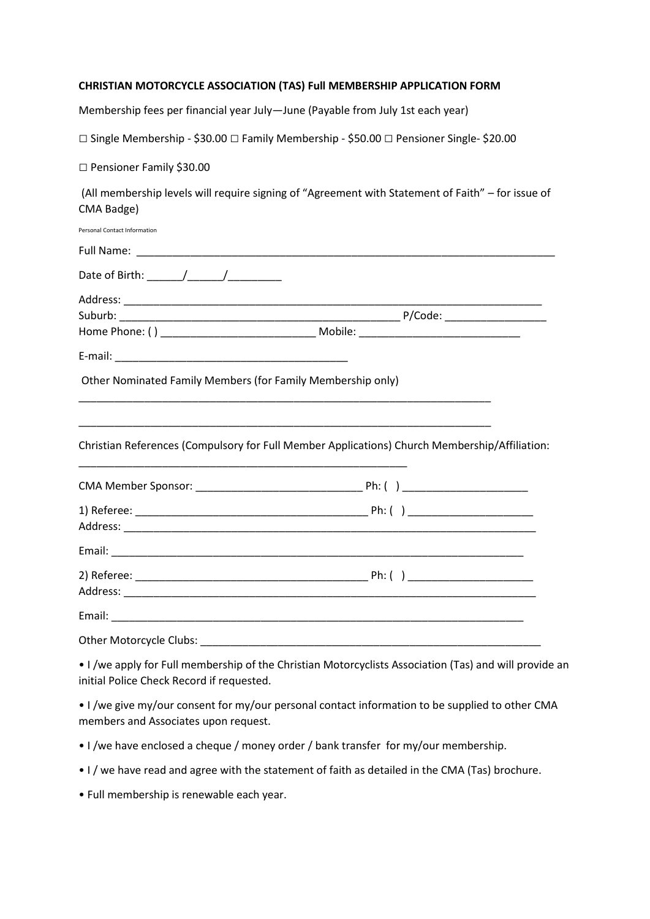## **CHRISTIAN MOTORCYCLE ASSOCIATION (TAS) Full MEMBERSHIP APPLICATION FORM**

Membership fees per financial year July—June (Payable from July 1st each year)

□ Single Membership - \$30.00 □ Family Membership - \$50.00 □ Pensioner Single- \$20.00

□ Pensioner Family \$30.00

(All membership levels will require signing of "Agreement with Statement of Faith" – for issue of CMA Badge)

| <b>Personal Contact Information</b>                         |                                                                                               |
|-------------------------------------------------------------|-----------------------------------------------------------------------------------------------|
|                                                             |                                                                                               |
|                                                             |                                                                                               |
|                                                             |                                                                                               |
|                                                             |                                                                                               |
|                                                             |                                                                                               |
|                                                             |                                                                                               |
| Other Nominated Family Members (for Family Membership only) |                                                                                               |
|                                                             | Christian References (Compulsory for Full Member Applications) Church Membership/Affiliation: |
|                                                             |                                                                                               |
|                                                             |                                                                                               |
|                                                             |                                                                                               |
|                                                             |                                                                                               |
|                                                             |                                                                                               |
|                                                             |                                                                                               |
|                                                             |                                                                                               |
|                                                             |                                                                                               |

• I /we apply for Full membership of the Christian Motorcyclists Association (Tas) and will provide an initial Police Check Record if requested.

• I /we give my/our consent for my/our personal contact information to be supplied to other CMA members and Associates upon request.

- I /we have enclosed a cheque / money order / bank transfer for my/our membership.
- I / we have read and agree with the statement of faith as detailed in the CMA (Tas) brochure.
- Full membership is renewable each year.